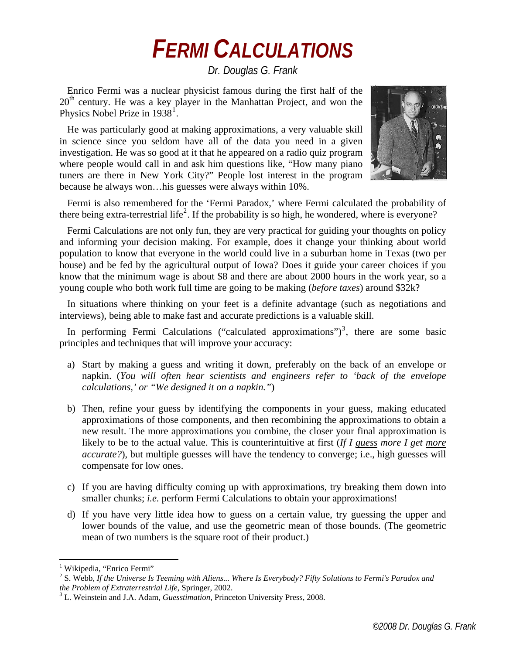## *FERMI CALCULATIONS*

*Dr. Douglas G. Frank* 

Enrico Fermi was a nuclear physicist famous during the first half of the  $20<sup>th</sup>$  century. He was a key player in the Manhattan Project, and won the Physics Nobel Prize in  $1938<sup>1</sup>$  $1938<sup>1</sup>$ .

He was particularly good at making approximations, a very valuable skill in science since you seldom have all of the data you need in a given investigation. He was so good at it that he appeared on a radio quiz program where people would call in and ask him questions like, "How many piano" tuners are there in New York City?" People lost interest in the program because he always won…his guesses were always within 10%.



Fermi is also remembered for the 'Fermi Paradox,' where Fermi calculated the probability of there being extra-terrestrial life<sup>[2](#page-0-1)</sup>. If the probability is so high, he wondered, where is everyone?

Fermi Calculations are not only fun, they are very practical for guiding your thoughts on policy and informing your decision making. For example, does it change your thinking about world population to know that everyone in the world could live in a suburban home in Texas (two per house) and be fed by the agricultural output of Iowa? Does it guide your career choices if you know that the minimum wage is about \$8 and there are about 2000 hours in the work year, so a young couple who both work full time are going to be making (*before taxes*) around \$32k?

In situations where thinking on your feet is a definite advantage (such as negotiations and interviews), being able to make fast and accurate predictions is a valuable skill.

In performing Fermi Calculations ("calculated approximations")<sup>[3](#page-0-2)</sup>, there are some basic principles and techniques that will improve your accuracy:

- a) Start by making a guess and writing it down, preferably on the back of an envelope or napkin. (*You will often hear scientists and engineers refer to 'back of the envelope calculations,' or "We designed it on a napkin."*)
- b) Then, refine your guess by identifying the components in your guess, making educated approximations of those components, and then recombining the approximations to obtain a new result. The more approximations you combine, the closer your final approximation is likely to be to the actual value. This is counterintuitive at first (*If I guess more I get more accurate?*), but multiple guesses will have the tendency to converge; i.e., high guesses will compensate for low ones.
- c) If you are having difficulty coming up with approximations, try breaking them down into smaller chunks; *i.e.* perform Fermi Calculations to obtain your approximations!
- d) If you have very little idea how to guess on a certain value, try guessing the upper and lower bounds of the value, and use the geometric mean of those bounds. (The geometric mean of two numbers is the square root of their product.)

<u>.</u>

<span id="page-0-0"></span><sup>&</sup>lt;sup>1</sup> Wikipedia, "Enrico Fermi"

<span id="page-0-1"></span><sup>2</sup> S. Webb, *If the Universe Is Teeming with Aliens... Where Is Everybody? Fifty Solutions to Fermi's Paradox and the Problem of Extraterrestrial Life*, Springer, 2002.

<span id="page-0-2"></span>L. Weinstein and J.A. Adam, *Guesstimation*, Princeton University Press, 2008.